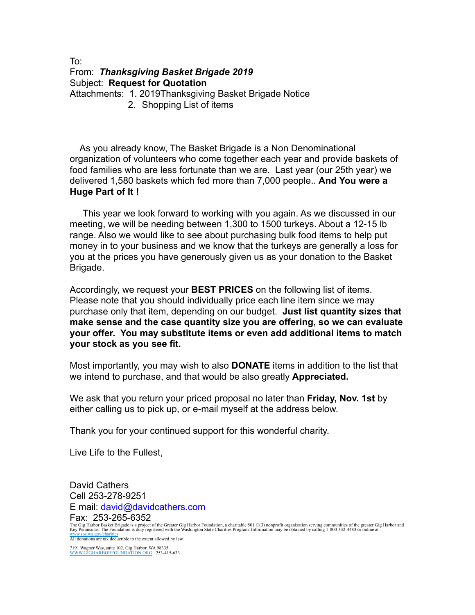## To: From: *Thanksgiving Basket Brigade 2019*  Subject: **Request for Quotation** Attachments: 1. 2019Thanksgiving Basket Brigade Notice 2. Shopping List of items

 As you already know, The Basket Brigade is a Non Denominational organization of volunteers who come together each year and provide baskets of food families who are less fortunate than we are. Last year (our 25th year) we delivered 1,580 baskets which fed more than 7,000 people.. **And You were a Huge Part of It !** 

This year we look forward to working with you again. As we discussed in our meeting, we will be needing between 1,300 to 1500 turkeys. About a 12-15 lb range. Also we would like to see about purchasing bulk food items to help put money in to your business and we know that the turkeys are generally a loss for you at the prices you have generously given us as your donation to the Basket Brigade.

Accordingly, we request your **BEST PRICES** on the following list of items. Please note that you should individually price each line item since we may purchase only that item, depending on our budget. **Just list quantity sizes that make sense and the case quantity size you are offering, so we can evaluate your offer. You may substitute items or even add additional items to match your stock as you see fit.** 

Most importantly, you may wish to also **DONATE** items in addition to the list that we intend to purchase, and that would be also greatly **Appreciated.**

We ask that you return your priced proposal no later than **Friday, Nov. 1st** by either calling us to pick up, or e-mail myself at the address below.

Thank you for your continued support for this wonderful charity.

Live Life to the Fullest,

David Cathers Cell 253-278-9251 E mail: david@davidcathers.com Fax: 253-265-6352 The Gig Harbor Basket Brigade is a project of the Greater Gig Harbor Foundation, a charitable 501 ©(3) nonprofit organization serving communities of the greater Gig Harbor and<br>Key Peninsulas. The Foundation is duly registe [www.sos.wa.gov/charities.](http://www.sos.wa.gov/charities) All donations are tax deductible to the extent allowed by law.

7191 Wagner Way, suite 102, Gig Harbor, WA 98335 [WWW.GIGHARBORFOUNDATION.ORG](http://WWW.GIGHARBORFOUNDATION.ORG) 253-415-633